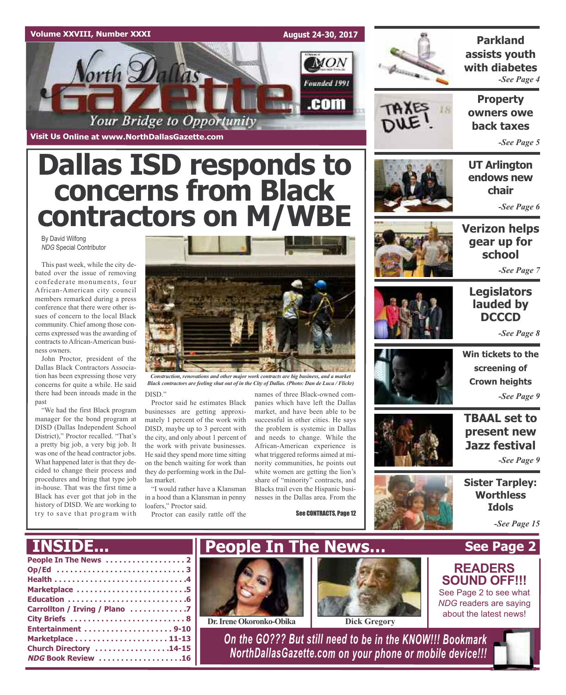#### **Volume XXVIII, Number XXXI**

**Visit Us Online at www.NorthDallasGazette.com**

**August 24-30, 2017**

**MON** 

Founded 1991

.com



### **Parkland assists youth with diabetes** *-See Page 4*

**Property owners owe back taxes**

*-See Page 5*

**UT Arlington endows new chair**

*-See Page 6*



*-See Page 7*

### **Legislators lauded by DCCCD**

*-See Page 8*

**Win tickets to the screening of Crown heights** *-See Page 9*

> **TBAAL set to present new Jazz festival**

> > *-See Page 9*

**Sister Tarpley: Worthless Idols**

**See Page 2**

*-See Page 15*



*Construction, renovations and other major work contracts are big business, and a market Black contractors are feeling shut out of in the City of Dallas. (Photo: Dan de Luca / Flickr)*

DISD." Proctor said he estimates Black

businesses are getting approximately 1 percent of the work with DISD, maybe up to 3 percent with the city, and only about 1 percent of the work with private businesses. He said they spend more time sitting on the bench waiting for work than they do performing work in the Dallas market.

**Dallas ISD responds to**

Your Bridge to Opportunity

"I would rather have a Klansman in a hood than a Klansman in penny loafers," Proctor said.

Proctor can easily rattle off the

names of three Black-owned companies which have left the Dallas market, and have been able to be successful in other cities. He says the problem is systemic in Dallas and needs to change. While the African-American experience is what triggered reforms aimed at minority communities, he points out white women are getting the lion's share of "minority" contracts, and Blacks trail even the Hispanic businesses in the Dallas area. From the

See CONTRACTS, Page 12



By David Wilfong *NDG* Special Contributor

ness owners.

past

tion has been expressing those very concerns for quite a while. He said there had been inroads made in the

"We had the first Black program manager for the bond program at DISD (Dallas Independent School District)," Proctor recalled. "That's a pretty big job, a very big job. It was one of the head contractor jobs. What happened later is that they decided to change their process and procedures and bring that type job in-house. That was the first time a Black has ever got that job in the history of DISD. We are working to try to save that program with

| Marketplace 5                 |
|-------------------------------|
|                               |
| Carrollton / Irving / Plano 7 |
|                               |
|                               |
|                               |
| Church Directory 14-15        |
| <b>NDG Book Review 16</b>     |
|                               |



**Dr. Irene Okoronko-Obika Dick Gregory** 



*On the GO??? But still need to be in the KNOW!!! Bookmark NorthDallasGazette.com on your phone or mobile device!!!*



**READERS SOUND OFF!!!**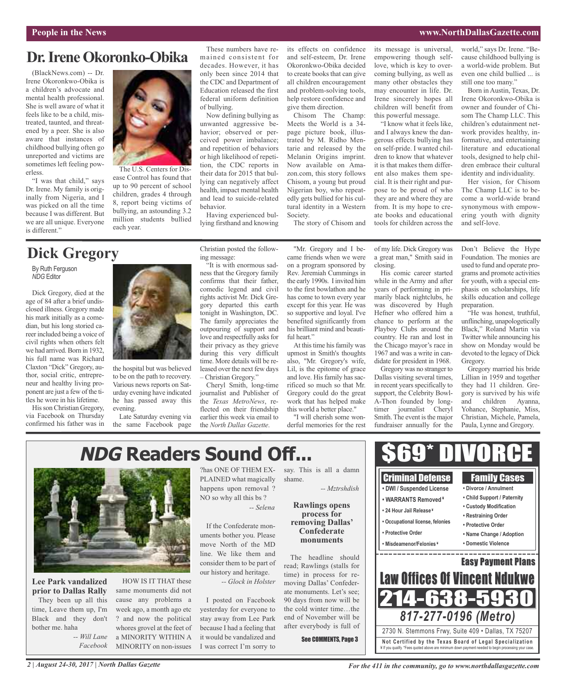#### **People in the News www.NorthDallasGazette.com**

### **Dr. Irene Okoronko-Obika**

(BlackNews.com) -- Dr. Irene Okoronkwo-Obika is a children's advocate and mental health professional. She is well aware of what it feels like to be a child, mistreated, taunted, and threatened by a peer. She is also aware that instances of childhood bullying often go unreported and victims are sometimes left feeling powerless.

"I was that child," says Dr. Irene. My family is originally from Nigeria, and I was picked on all the time because I was different. But we are all unique. Everyone is different."



The U.S. Centers for Disease Control has found that up to 90 percent of school children, grades 4 through 8, report being victims of bullying, an astounding 3.2 million students bullied each year.

#### These numbers have remained consistent for decades. However, it has only been since 2014 that the CDC and Department of Education released the first federal uniform definition of bullying.

Now defining bullying as unwanted aggressive behavior; observed or perceived power imbalance; and repetition of behaviors or high likelihood of repetition, the CDC reports in their data for 2015 that bullying can negatively affect health, impact mental health and lead to suicide-related behavior.

Having experienced bullying firsthand and knowing

its effects on confidence and self-esteem, Dr. Irene Okoronkwo-Obika decided to create books that can give all children encouragement and problem-solving tools, help restore confidence and give them direction.

Chisom The Champ: Meets the World is a 34 page picture book, illustrated by M. Ridho Mentarie and released by the Melanin Origins imprint. Now available on Amazon.com, this story follows Chisom, a young but proud Nigerian boy, who repeatedly gets bullied for his cultural identity in a Western Society.

The story of Chisom and

its message is universal, empowering though selflove, which is key to overcoming bullying, as well as many other obstacles they may encounter in life. Dr. Irene sincerely hopes all children will benefit from this powerful message.

"I know what it feels like, and I always knew the dangerous effects bullying has on self-pride. I wanted children to know that whatever it is that makes them different also makes them special. It is their right and purpose to be proud of who they are and where they are from. It is my hope to create books and educational tools for children across the

world," says Dr. Irene. "Because childhood bullying is a world-wide problem. But even one child bullied ... is still one too many."

Born in Austin, Texas, Dr. Irene Okoronkwo-Obika is owner and founder of Chisom The Champ LLC. This children's edutainment network provides healthy, informative, and entertaining literature and educational tools, designed to help children embrace their cultural identity and individuality.

Her vision, for Chisom The Champ LLC is to become a world-wide brand synonymous with empowering youth with dignity and self-love.

## **Dick Gregory**

By Ruth Ferguson *NDG* Editor

Dick Gregory, died at the age of 84 after a brief undisclosed illness. Gregory made his mark initially as a comedian, but his long storied career included being a voice of civil rights when others felt we had arrived. Born in 1932, his full name was Richard Claxton "Dick" Gregory, author, social critic, entrepreneur and healthy living proponent are just a few of the titles he wore in his lifetime.

Hisson Christian Gregory, via Facebook on Thursday confirmed his father was in



the hospital but was believed to be on the path to recovery. Various news reports on Saturday evening have indicated he has passed away this evening.

Late Saturday evening via the same Facebook page



Christian posted the following message: "It is with enormous sad-

ness that the Gregory family confirms that their father, comedic legend and civil rights activist Mr. Dick Gregory departed this earth tonight in Washington, DC. The family appreciates the outpouring of support and love and respectfully asks for their privacy as they grieve during this very difficult time. More details will be released over the next few days – Christian Gregory."

Cheryl Smith, long-time journalist and Publisher of the *Texas MetroNews*, reflected on their friendship earlier this week via email to the *North Dallas Gazette*.

"Mr. Gregory and I became friends when we were on a program sponsored by Rev. Jeremiah Cummings in the early 1990s. I invited him to the first bowlathon and he has come to town every year except for this year. He was so supportive and loyal. I've benefited significantly from his brilliant mind and beautiful heart."

At this time his family was upmost in Smith's thoughts also, "Mr. Gregory's wife, Lil, is the epitome of grace and love. His family has sacrificed so much so that Mr. Gregory could do the great work that has helped make this world a better place."

"I will cherish some wonderful memories for the rest of my life. Dick Gregory was a great man," Smith said in closing.

His comic career started while in the Army and after years of performing in primarily black nightclubs, he was discovered by Hugh Hefner who offered him a chance to perform at the Playboy Clubs around the country. He ran and lost in the Chicago mayor's race in 1967 and was a write in candidate for president in 1968.

Gregory was no stranger to Dallas visiting several times, in recent years specifically to support, the Celebrity Bowl-A-Thon founded by longtimer journalist Cheryl Smith. The event is the major fundraiser annually for the

Don't Believe the Hype Foundation. The monies are used to fund and operate programs and promote activities for youth, with a special emphasis on scholarships, life skills education and college preparation.

"He was honest, truthful, unflinching, unapologetically Black," Roland Martin via Twitter while announcing his show on Monday would be devoted to the legacy of Dick Gregory.

Gregory married his bride Lillian in 1959 and together they had 11 children. Gregory is survived by his wife and children Ayanna, Yohance, Stephanie, Miss, Christian, Michele, Pamela, Paula, Lynne and Gregory.

## **NDG Readers Sound Off...**



**Lee Park vandalized prior to Dallas Rally** They been up all this time, Leave them up, I'm Black and they don't bother me. haha *-- Will Lane*

?has ONE OF THEM EX-say. This is all a damn PLAINED what magically happens upon removal ? NO so why all this bs ?

*-- Selena*

If the Confederate monuments bother you. Please move North of the MD line. We like them and consider them to be part of our history and heritage. *-- Glock in Holster*

I posted on Facebook yesterday for everyone to stay away from Lee Park because I had a feeling that it would be vandalized and I was correct I'm sorry to

*-- Mztrshdish* **Rawlings opens process for removing Dallas' Confederate**

shame.

**monuments**

The headline should read; Rawlings (stalls for time) in process for removing Dallas' Confederate monuments. Let's see; 90 days from now will be the cold winter time…the end of November will be after everybody is full of

See COMMENTS, Page 3



**Not Ce rtified by the Te x a s Boa rd of Lega l Spe c ia l i za tion** ¥ If you qualify. \*Fees quoted above are minimum down payment needed to begin processing your case. 2730 N. Stemmons Frwy, Suite 409 • Dallas, TX 75207

*Facebook*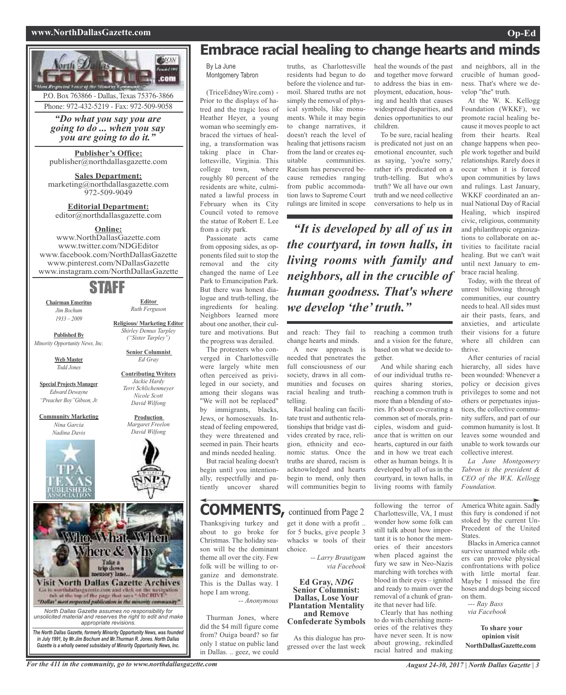#### **www.NorthDallasGazette.com Op-Ed**



## **Embrace racial healing to change hearts and minds**

children.

heal the wounds of the past and together move forward to address the bias in employment, education, housing and health that causes widespread disparities, and denies opportunities to our

To be sure, racial healing is predicated not just on an emotional encounter, such as saying, 'you're sorry,' rather it's predicated on a truth-telling. But who's truth? We all have our own truth and we need collective conversations to help us in

By La June Montgomery Tabron

(TriceEdneyWire.com) - Prior to the displays of hatred and the tragic loss of Heather Heyer, a young woman who seemingly embraced the virtues of healing, a transformation was taking place in Charlottesville, Virginia. This college town, where roughly 80 percent of the residents are white, culminated a lawful process in February when its City Council voted to remove the statue of Robert E. Lee from a city park.

Passionate acts came from opposing sides, as opponents filed suit to stop the removal and the city changed the name of Lee Park to Emancipation Park. But there was honest dialogue and truth-telling, the ingredients for healing. Neighbors learned more about one another, their culture and motivations. But the progress was derailed.

The protesters who converged in Charlottesville were largely white men often perceived as privileged in our society, and among their slogans was "We will not be replaced" by immigrants, blacks, Jews, or homosexuals. Instead of feeling empowered, they were threatened and seemed in pain. Their hearts and minds needed healing. But racial healing doesn't

begin until you intentionally, respectfully and patiently uncover shared truths, as Charlottesville residents had begun to do before the violence and turmoil. Shared truths are not simply the removal of physical symbols, like monuments. While it may begin to change narratives, it doesn't reach the level of healing that jettisons racism from the land or creates equitable communities. Racism has persevered because remedies ranging from public accommodation laws to Supreme Court rulings are limited in scope

*"It is developed by all of us in the courtyard, in town halls, in living rooms with family and neighbors, all in the crucible of human goodness. That's where we develop 'the' truth."*

and reach: They fail to change hearts and minds.

A new approach is needed that penetrates the full consciousness of our society, draws in all communities and focuses on racial healing and truthtelling.

Racial healing can facilitate trust and authentic relationships that bridge vast divides created by race, religion, ethnicity and economic status. Once the truths are shared, racism is acknowledged and hearts begin to mend, only then will communities begin to

reaching a common truth and a vision for the future, based on what we decide together.

And while sharing each of our individual truths requires sharing stories, reaching a common truth is more than a blending of stories. It's about co-creating a common set of morals, principles, wisdom and guidance that is written on our hearts, captured in our faith and in how we treat each other as human beings. It is developed by all of us in the courtyard, in town halls, in living rooms with family

and neighbors, all in the crucible of human goodness. That's where we develop "the" truth.

At the W. K. Kellogg Foundation (WKKF), we promote racial healing because it moves people to act from their hearts. Real change happens when people work together and build relationships. Rarely does it occur when it is forced upon communities by laws and rulings. Last January, WKKF coordinated an annual National Day of Racial Healing, which inspired civic, religious, community and philanthropic organizations to collaborate on activities to facilitate racial healing. But we can't wait until next January to embrace racial healing.

Today, with the threat of unrest billowing through communities, our country needs to heal. All sides must air their pasts, fears, and anxieties, and articulate their visions for a future where all children can thrive.

After centuries of racial hierarchy, all sides have been wounded: Whenever a policy or decision gives privileges to some and not others or perpetuates injustices, the collective community suffers, and part of our common humanity is lost. It leaves some wounded and unable to work towards our collective interest.

*La June Montgomery Tabron is the president & CEO of the W.K. Kellogg Foundation.*

**COMMENTS,** continued from Page <sup>2</sup>

Thanksgiving turkey and about to go broke for Christmas. The holiday season will be the dominant theme all over the city. Few folk will be willing to organize and demonstrate. This is the Dallas way. I hope I am wrong.

*-- Anonymous*

Thurman Jones, where did the \$4 mill figure come from? Ouiga board? so far only 1 statue on public land in Dallas. .. geez, we could

get it done with a profit .. for 5 bucks, give people 3 whacks w tools of their choice.

> *-- Larry Brautigam via Facebook*

**Ed Gray,** *NDG* **Senior Columnist: Dallas, Lose Your Plantation Mentality and Remove Confederate Symbols**

As this dialogue has progressed over the last week

following the terror of Charlottesville, VA, I must wonder how some folk can still talk about how important it is to honor the memories of their ancestors when placed against the fury we saw in Neo-Nazis marching with torches with blood in their eyes – ignited and ready to maim over the removal of a chunk of granite that never had life.

Clearly that has nothing to do with cherishing memories of the relatives they have never seen. It is now about growing, rekindled racial hatred and making

America White again. Sadly this fury is condoned if not stoked by the current Un-Precedent of the United **States**.

Blacks in America cannot survive unarmed while others can provoke physical confrontations with police with little mortal fear. Maybe I missed the fire hoses and dogs being sicced on them.

*--- Ray Bass via Facebook*

**To share your opinion visit NorthDallasGazette.com**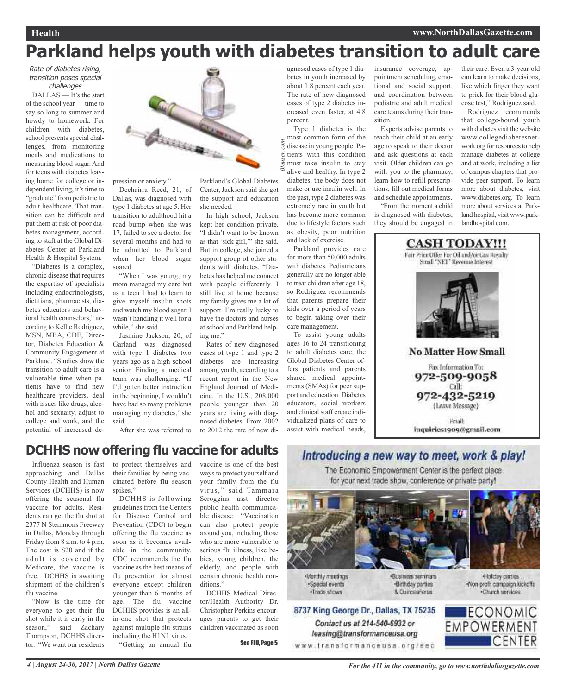## **Parkland helps youth with diabetes transition to adult care**

*Blausen.com*

Rate of diabetes rising, transition poses special challenges

DALLAS — It's the start of the school year — time to say so long to summer and howdy to homework. For children with diabetes, school presents special challenges, from monitoring meals and medications to measuring blood sugar. And for teens with diabetes leaving home for college or independent living, it's time to "graduate" from pediatric to adult healthcare. That transition can be difficult and put them at risk of poor diabetes management, according to staff at the Global Diabetes Center at Parkland Health & Hospital System.

"Diabetes is a complex, chronic disease that requires the expertise of specialists including endocrinologists, dietitians, pharmacists, diabetes educators and behavioral health counselors," according to Kellie Rodriguez, MSN, MBA, CDE, Director, Diabetes Education & Community Engagement at Parkland. "Studies show the transition to adult care is a vulnerable time when patients have to find new healthcare providers, deal with issues like drugs, alcohol and sexuaity, adjust to college and work, and the potential of increased de-



pression or anxiety."

Dechairra Reed, 21, of Dallas, was diagnosed with type 1 diabetes at age 5. Her transition to adulthood hit a road bump when she was 17, failed to see a doctor for several months and had to be admitted to Parkland when her blood sugar soared.

"When I was young, my mom managed my care but as a teen I had to learn to give myself insulin shots and watch my blood sugar. I wasn't handling it well for a while," she said.

Jasmine Jackson, 20, of Garland, was diagnosed with type 1 diabetes two years ago as a high school senior. Finding a medical team was challenging. "If I'd gotten better instruction in the beginning, I wouldn't have had so many problems managing my diabetes," she said.

Parkland's Global Diabetes Center, Jackson said she got the support and education she needed.

In high school, Jackson kept her condition private. "I didn't want to be known as that 'sick girl,'" she said. But in college, she joined a support group of other students with diabetes. "Diabetes has helped me connect with people differently. I still live at home because my family gives me a lot of support. I'm really lucky to have the doctors and nurses at school and Parkland helping me."

Rates of new diagnosed cases of type 1 and type 2 diabetes are increasing among youth, according to a recent report in the New England Journal of Medicine. In the U.S., 208,000 people younger than 20 years are living with diagnosed diabetes. From 2002 to 2012 the rate of new di-

agnosed cases of type 1 diabetes in youth increased by about 1.8 percent each year. The rate of new diagnosed cases of type 2 diabetes increased even faster, at 4.8 percent.

Type 1 diabetes is the most common form of the disease in young people. Patients with this condition must take insulin to stay alive and healthy. In type 2 diabetes, the body does not make or use insulin well. In the past, type 2 diabetes was extremely rare in youth but has become more common due to lifestyle factors such as obesity, poor nutrition and lack of exercise.

Parkland provides care for more than 50,000 adults with diabetes. Pediatricians generally are no longer able to treat children after age 18, so Rodriguez recommends that parents prepare their kids over a period of years to begin taking over their care management.

To assist young adults ages 16 to 24 transitioning to adult diabetes care, the Global Diabetes Center offers patients and parents shared medical appointments (SMAs) for peer support and education. Diabetes educators, social workers and clinical staff create individualized plans of care to assist with medical needs,

insurance coverage, appointment scheduling, emotional and social support, and coordination between pediatric and adult medical care teams during their transition.

Experts advise parents to teach their child at an early age to speak to their doctor and ask questions at each visit. Older children can go with you to the pharmacy, learn how to refill prescriptions, fill out medical forms and schedule appointments.

"From the moment a child is diagnosed with diabetes, they should be engaged in

their care. Even a 3-year-old can learn to make decisions, like which finger they want to prick for their blood glucose test," Rodriguez said.

Rodriguez recommends that college-bound youth with diabetes visit the website www.collegediabetesnetwork.org for resources to help manage diabetes at college and at work, including a list of campus chapters that provide peer support. To learn more about diabetes, visit www.diabetes.org. To learn more about services at Parkland hospital, visit www.parklandhospital.com.



### **DCHHS now offering flu vaccine for adults**

After she was referred to

Influenza season is fast approaching and Dallas County Health and Human Services (DCHHS) is now offering the seasonal flu vaccine for adults. Residents can get the flu shot at 2377 N Stemmons Freeway in Dallas, Monday through Friday from 8 a.m. to 4 p.m. The cost is \$20 and if the a dult is covered by Medicare, the vaccine is free. DCHHS is awaiting shipment of the children's flu vaccine.

"Now is the time for everyone to get their flu shot while it is early in the season," said Zachary Thompson, DCHHS director. "We want our residents

to protect themselves and their families by being vaccinated before flu season spikes."

DCHHS is following guidelines from the Centers for Disease Control and Prevention (CDC) to begin offering the flu vaccine as soon as it becomes available in the community. CDC recommends the flu vaccine as the best means of flu prevention for almost everyone except children younger than 6 months of age. The flu vaccine DCHHS provides is an allin-one shot that protects against multiple flu strains including the H1N1 virus. "Getting an annual flu

vaccine is one of the best ways to protect yourself and your family from the flu virus," said Tammara Scroggins, asst. director public health communicable disease. "Vaccination can also protect people around you, including those who are more vulnerable to serious flu illness, like babies, young children, the elderly, and people with certain chronic health conditions."

DCHHS Medical Director/Health Authority Dr. Christopher Perkins encourages parents to get their children vaccinated as soon

See FLU, Page 5

Introducing a new way to meet, work & play! The Economic Empowerment Center is the perfect place

for your next trade show, conference or private party!



Monthly meetings ·Special events ·Trade shows



Contact us at 214-540-6932 or

leasing@transformanceusa.org

«Business seminars ·Birthday parties 8 Curceaferas

Holday partes. Non-profit campaign kickoffs Charch services

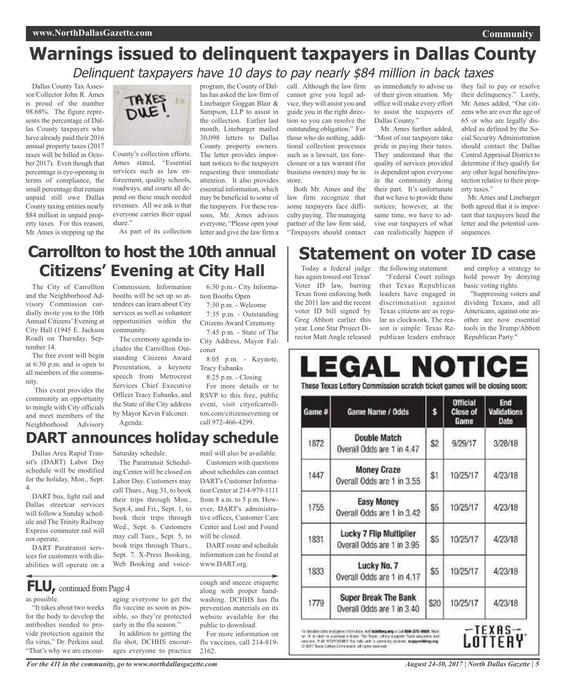## **Warnings issued to delinquent taxpayers in Dallas County** Delinquent taxpayers have 10 days to pay nearly \$84 million in back taxes

Dallas County Tax Assessor/Collector John R. Ames is proud of the number 98.68%. The figure represents the percentage of Dallas County taxpayers who have already paid their 2016 annual property taxes (2017 taxes will be billed in October 2017). Even though that percentage is eye-opening in terms of compliance, the small percentage that remain unpaid still owe Dallas County taxing entities nearly \$84 million in unpaid property taxes. For this reason, Mr. Ames is stepping up the



County's collection efforts. Ames stated, "Essential services such as law enforcement, quality schools, roadways, and courts all depend on these much needed revenues. All we ask is that everyone carries their equal share."

As part of its collection

program, the County of Dallas has asked the law firm of Linebarger Goggan Blair & Sampson, LLP to assist in the collection. Earlier last month, Linebarger mailed 30,098 letters to Dallas County property owners. The letter provides important notices to the taxpayers requesting their immediate attention. It also provides essential information, which may be beneficial to some of the taxpayers. For these reasons, Mr. Ames advises everyone, "Please open your letter and give the law firm a

call. Although the law firm cannot give you legal advice, they will assist you and guide you in the right direction so you can resolve the outstanding obligation." For those who do nothing, additional collection processes such as a lawsuit, tax foreclosure or a tax warrant (for business owners) may be in store.

Both Mr. Ames and the law firm recognize that some taxpayers face difficulty paying. The managing partner of the law firm said, "Taxpayers should contact

us immediately to advise us of their given situation. My office will make every effort to assist the taxpayers of Dallas County."

Mr. Ames further added, "Most of our taxpayers take pride in paying their taxes. They understand that the quality of services provided is dependent upon everyone in the community doing their part. It's unfortunate that we have to provide these notices; however, at the same time, we have to advise our taxpayers of what can realistically happen if they fail to pay or resolve their delinquency." Lastly, Mr. Ames added, "Our citizens who are over the age of 65 or who are legally disabled as defined by the Social Security Administration should contact the Dallas Central Appraisal District to determine if they qualify for any other legal benefits/protection relative to their property taxes."

**Community**

Mr. Ames and Linebarger both agreed that it is important that taxpayers heed the letter and the potential consequences.

## **Carrollton to host the 10th annual Citizens' Evening at City Hall**

The City of Carrollton and the Neighborhood Advisory Commission cordially invite you to the 10th Annual Citizens'Evening at City Hall (1945 E. Jackson Road) on Thursday, September 14.

The free event will begin at 6:30 p.m. and is open to all members of the community.

This event provides the community an opportunity to mingle with City officials and meet members of the Neighborhood Advisory

Commission. Information booths will be set up so attendees can learn about City services as well as volunteer opportunities within the community.

The ceremony agenda includes the Carrollton Outstanding Citizens Award Presentation, a keynote speech from Metrocrest Services Chief Executive Officer Tracy Eubanks, and the State of the City address by Mayor Kevin Falconer. Agenda:

6:30 p.m.- City Information Booths Open 7:30 p.m. - Welcome

7:35 p.m. - Outstanding Citizens Award Ceremony

7:45 p.m. - State of The City Address, Mayor Falconer

8:05 p.m. - Keynote, Tracy Eubanks

8:25 p.m. - Closing For more details or to RSVP to this free, public

event, visit cityofcarrollton.com/citizensevening or call 972-466-4299.

mail will also be available.

## **DART announces holiday schedule**

Dallas Area Rapid Transit's (DART) Labor Day schedule will be modified for the holiday, Mon., Sept. 4.

DART bus, light rail and Dallas streetcar services will follow a Sunday schedule and The Trinity Railway Express commuter rail will not operate.

DART Paratransit services for customers with disabilities will operate on a Saturday schedule. The Paratransit Schedul-

ing Center will be closed on Labor Day. Customers may call Thurs., Aug.31, to book their trips through Mon., Sept.4, and Fri., Sept. 1, to book their trips through Wed., Sept. 6. Customers may call Tues., Sept. 5, to book trips through Thurs., Sept. 7. X-Press Booking, Web Booking and voice-

Customers with questions about schedules can contact DART's Customer Information Center at 214-979-1111 from 8 a.m. to 5 p.m. However, DART's administrative offices, Customer Care Center and Lost and Found will be closed.

DART route and schedule information can be found at www.DART.org.

as possible. **FLU**, continued from Page 4

"It takes about two weeks for the body to develop the antibodies needed to provide protection against the flu virus," Dr. Perkins said. "That's why we are encour-

aging everyone to get the flu vaccine as soon as possible, so they're protected early in the flu season." In addition to getting the

flu shot, DCHHS encourages everyone to practice cough and sneeze etiquette along with proper handwashing. DCHHS has flu prevention materials on its website available for the public to download.

For more information on flu vaccines, call 214-819- 2162.

## **Statement on voter ID case**

Today a federal judge has again tossed out Texas' Voter ID law, barring Texas from enforcing both the 2011 law and the recent voter ID bill signed by Greg Abbott earlier this year. Lone Star Project Director Matt Angle released

the following statement: "Federal Court rulings that Texas Republican leaders have engaged in

discrimination against Texas citizens are as regular as clockwork. The reason is simple: Texas Republican leaders embrace

and employ a strategy to hold power by denying basic voting rights.

"Suppressing voters and dividing Texans, and all Americans, against one another are now essential tools in the Trump/Abbott Republican Party."

| Game# | Game Name / Odds                                          | s    | <b>Official</b><br><b>Close of</b><br>Game | End<br>Validations<br>Date |
|-------|-----------------------------------------------------------|------|--------------------------------------------|----------------------------|
| 1872  | <b>Double Match</b><br>Overall Odds are 1 in 4.47         | \$2  | 9/29/17                                    | 3/28/18                    |
| 1447  | <b>Money Craze</b><br>Overall Odds are 1 in 3.55          | \$1  | 10/25/17                                   | 4/23/18                    |
| 1755  | <b>Easy Money</b><br>Overall Odds are 1 in 3.42           | \$5  | 10/25/17                                   | 4/23/18                    |
| 1831  | Lucky 7 Flip Multiplier<br>Overall Odds are 1 in 3.95     | \$5  | 10/25/17                                   | 4/23/18                    |
| 1833  | Lucky No. 7<br>Overall Odds are 1 in 4.17                 | \$5. | 10/25/17                                   | 4/23/18                    |
| 1779  | <b>Super Break The Bank</b><br>Overall Odds are 1 in 3.40 | \$20 | 10/25/17                                   | 4/23/18                    |

*August 24-30, 2017 | North Dallas Gazette | 5*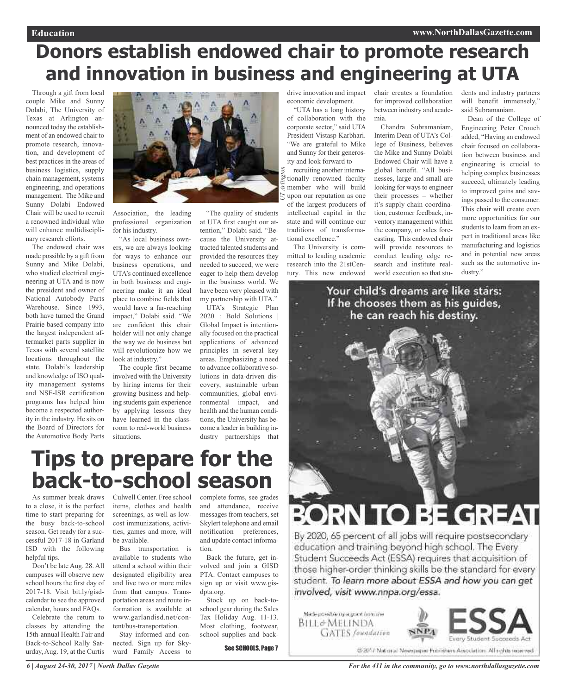#### **Education www.NorthDallasGazette.com**

## **Donors establish endowed chair to promote research and innovation in business and engineering at UTA**

Through a gift from local couple Mike and Sunny Dolabi, The University of Texas at Arlington announced today the establishment of an endowed chair to promote research, innovation, and development of best practices in the areas of business logistics, supply chain management, systems engineering, and operations management. The Mike and Sunny Dolabi Endowed Chair will be used to recruit a renowned individual who will enhance multidisciplinary research efforts.

The endowed chair was made possible by a gift from Sunny and Mike Dolabi, who studied electrical engineering at UTA and is now the president and owner of National Autobody Parts Warehouse. Since 1993, both have turned the Grand Prairie based company into the largest independent aftermarket parts supplier in Texas with several satellite locations throughout the state. Dolabi's leadership and knowledge of ISO quality management systems and NSF-ISR certification programs has helped him become a respected authority in the industry. He sits on the Board of Directors for the Automotive Body Parts



Association, the leading professional organization for his industry.

"As local business owners, we are always looking for ways to enhance our business operations, and UTA's continued excellence in both business and engineering make it an ideal place to combine fields that would have a far-reaching impact," Dolabi said. "We are confident this chair holder will not only change the way we do business but will revolutionize how we look at industry."

The couple first became involved with the University by hiring interns for their growing business and helping students gain experience by applying lessons they have learned in the classroom to real-world business situations.

"The quality of students at UTA first caught our attention," Dolabi said. "Because the University attracted talented students and provided the resources they needed to succeed, we were eager to help them develop in the business world. We have been very pleased with my partnership with UTA."

UTA's Strategic Plan 2020 : Bold Solutions | Global Impact is intentionally focused on the practical applications of advanced principles in several key areas. Emphasizing a need to advance collaborative solutions in data-driven discovery, sustainable urban communities, global environmental impact, and health and the human conditions, the University has become a leader in building industry partnerships that

drive innovation and impact economic development.

"UTA has a long history of collaboration with the corporate sector," said UTA President Vistasp Karbhari. "We are grateful to Mike and Sunny for their generosity and look forward to

recruiting another internationally renowned faculty member who will build upon our reputation as one of the largest producers of intellectual capital in the state and will continue our traditions of transformational excellence."

The University is committed to leading academic research into the 21stCentury. This new endowed chair creates a foundation for improved collaboration between industry and academia.

Chandra Subramaniam, Interim Dean of UTA's College of Business, believes the Mike and Sunny Dolabi Endowed Chair will have a global benefit. "All businesses, large and small are looking for ways to engineer their processes – whether it's supply chain coordination, customer feedback, inventory management within the company, or sales forecasting. This endowed chair will provide resources to conduct leading edge research and institute realworld execution so that students and industry partners will benefit immensely," said Subramaniam.

Dean of the College of Engineering Peter Crouch added, "Having an endowed chair focused on collaboration between business and engineering is crucial to helping complex businesses succeed, ultimately leading to improved gains and savings passed to the consumer. This chair will create even more opportunities for our students to learn from an expert in traditional areas like manufacturing and logistics and in potential new areas such as the automotive industry."



## **Tips to prepare for the back-to-school season**

As summer break draws to a close, it is the perfect time to start preparing for the busy back-to-school season. Get ready for a successful 2017-18 in Garland ISD with the following helpful tips.

Don't be late Aug. 28. All campuses will observe new school hours the first day of 2017-18. Visit bit.ly/gisdcalendar to see the approved calendar, hours and FAQs.

Celebrate the return to classes by attending the 15th-annual Health Fair and Back-to-School Rally Saturday, Aug. 19, at the Curtis Culwell Center. Free school items, clothes and health screenings, as well as lowcost immunizations, activities, games and more, will be available.

Bus transportation is available to students who attend a school within their designated eligibility area and live two or more miles from that campus. Transportation areas and route information is available at www.garlandisd.net/content/bus-transportation.

Stay informed and connected. Sign up for Skyward Family Access to complete forms, see grades and attendance, receive messages from teachers, set Skylert telephone and email notification preferences, and update contact information.

Back the future, get involved and join a GISD PTA. Contact campuses to sign up or visit www.gisdpta.org.

Stock up on back-toschool gear during the Sales Tax Holiday Aug. 11-13. Most clothing, footwear, school supplies and back-

See SCHOOLS, Page 7

# **DRN TO BE GREAT**

By 2020, 65 percent of all jobs will require postsecondary education and training beyond high school. The Every Student Succeeds Act (ESSA) requires that acquisition of those higher-order thinking skills be the standard for every student. To learn more about ESSA and how you can get involved, visit www.nnpa.org/essa.

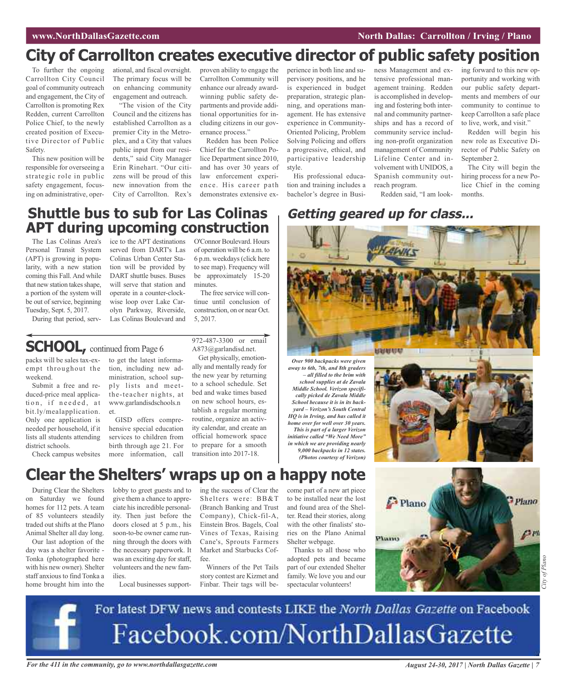## **City of Carrollton creates executive director of public safety position**

To further the ongoing Carrollton City Council goal of community outreach and engagement, the City of Carrollton is promoting Rex Redden, current Carrollton Police Chief, to the newly created position of Executive Director of Public Safety.

This new position will be responsible for overseeing a strategic role in public safety engagement, focusing on administrative, operational, and fiscal oversight. The primary focus will be on enhancing community engagement and outreach.

"The vision of the City Council and the citizens has established Carrollton as a premier City in the Metroplex, and a City that values public input from our residents," said City Manager Erin Rinehart. "Our citizens will be proud of this new innovation from the City of Carrollton. Rex's

proven ability to engage the Carrollton Community will enhance our already awardwinning public safety departments and provide additional opportunities for including citizens in our governance process."

Redden has been Police Chief for the Carrollton Police Department since 2010, and has over 30 years of law enforcement experience. His career path demonstrates extensive experience in both line and supervisory positions, and he is experienced in budget preparation, strategic planning, and operations management. He has extensive experience in Community-Oriented Policing, Problem Solving Policing and offers a progressive, ethical, and participative leadership style.

His professional education and training includes a bachelor's degree in Business Management and extensive professional management training. Redden is accomplished in developing and fostering both internal and community partnerships and has a record of community service including non-profit organization management of Community Lifeline Center and involvement with UNIDOS, a Spanish community outreach program. Redden said, "I am look-

ing forward to this new opportunity and working with our public safety departments and members of our community to continue to keep Carrollton a safe place to live, work, and visit."

Redden will begin his new role as Executive Director of Public Safety on September 2.

The City will begin the hiring process for a new Police Chief in the coming months.

### **Shuttle bus to sub for Las Colinas APT during upcoming construction**

The Las Colinas Area's Personal Transit System (APT) is growing in popularity, with a new station coming this Fall. And while that new station takes shape, a portion of the system will be out of service, beginning Tuesday, Sept. 5, 2017.

During that period, serv-

ice to the APT destinations served from DART's Las Colinas Urban Center Station will be provided by DART shuttle buses. Buses will serve that station and operate in a counter-clockwise loop over Lake Carolyn Parkway, Riverside, Las Colinas Boulevard and

O'Connor Boulevard. Hours of operation will be 6 a.m. to 6 p.m. weekdays(click here to see map). Frequency will be approximately 15-20 minutes.

The free service will continue until conclusion of construction, on or near Oct. 5, 2017.

## **SCHOOL,** continued from Page <sup>6</sup>

empt throughout the weekend. Submit a free and re-

duced-price meal application, if needed, at bit.ly/mealapplication. Only one application is needed per household, if it lists all students attending district schools.

Check campus websites

packs will be sales tax-ex-to get the latest information, including new administration, school supply lists and meetthe-teacher nights, at www.garlandisdschools.n et.

> GISD offers comprehensive special education services to children from birth through age 21. For more information, call

972-487-3300 or email A873@garlandisd.net.

Get physically, emotionally and mentally ready for the new year by returning to a school schedule. Set bed and wake times based on new school hours, establish a regular morning routine, organize an activity calendar, and create an official homework space to prepare for a smooth transition into 2017-18.

### **HAVAYATA** *Over 900 backpacks were given away to 6th, 7th, and 8th graders – all filled to the brim with school supplies at de Zavala*

**Getting geared up for class...**

*Middle School. Verizon specifically picked de Zavala Middle School because it is in its backyard – Verizon's South Central HQ is in Irving, and has called it home over for well over 30 years. This is part of a larger Verizon initiative called "We Need More" in which we are providing nearly 9,000 backpacks in 12 states. (Photos courtesy of Verizon)*



## **Clear the Shelters' wraps up on a happy note**

During Clear the Shelters on Saturday we found homes for 112 pets. A team of 85 volunteers steadily traded out shifts at the Plano Animal Shelter all day long.

Our last adoption of the day was a shelter favorite - Tonka (photographed here with his new owner). Shelter staff anxious to find Tonka a home brought him into the

lobby to greet guests and to give them a chance to appreciate hisincredible personality. Then just before the doors closed at 5 p.m., his soon-to-be owner came running through the doors with the necessary paperwork. It was an exciting day for staff, volunteers and the new families.

Local businesses support-

ing the success of Clear the Shelters were: BB&T (Branch Banking and Trust Company), Chick-fil-A, Einstein Bros. Bagels, Coal Vines of Texas, Raising Cane's, Sprouts Farmers Market and Starbucks Coffee.

Winners of the Pet Tails story contest are Kizmet and Finbar. Their tags will become part of a new art piece to be installed near the lost and found area of the Shelter. Read their stories, along with the other finalists' stories on the Plano Animal Shelter webpage.

Thanks to all those who adopted pets and became part of our extended Shelter family. We love you and our spectacular volunteers!

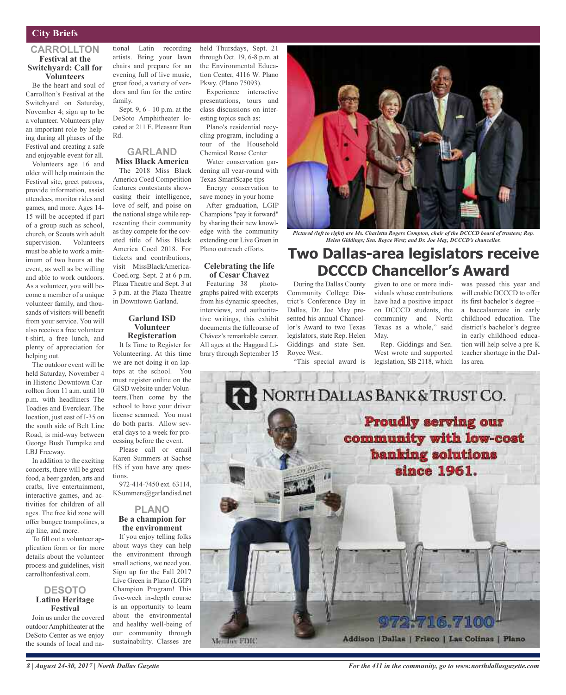#### **City Briefs**

#### **CARROLLTON Festival at the Switchyard: Call for Volunteers**

Be the heart and soul of Carrollton's Festival at the Switchyard on Saturday, November 4; sign up to be a volunteer. Volunteers play an important role by helping during all phases of the Festival and creating a safe and enjoyable event for all.

Volunteers age 16 and older will help maintain the Festival site, greet patrons, provide information, assist attendees, monitor rides and games, and more. Ages 14- 15 will be accepted if part of a group such as school, church, or Scouts with adult supervision. Volunteers must be able to work a minimum of two hours at the event, as well as be willing and able to work outdoors. As a volunteer, you will become a member of a unique volunteer family, and thousands of visitors will benefit from your service. You will also receive a free volunteer t-shirt, a free lunch, and plenty of appreciation for helping out.

The outdoor event will be held Saturday, November 4 in Historic Downtown Carrollton from 11 a.m. until 10 p.m. with headliners The Toadies and Everclear. The location, just east of I-35 on the south side of Belt Line Road, is mid-way between George Bush Turnpike and LBJ Freeway.

In addition to the exciting concerts, there will be great food, a beer garden, arts and crafts, live entertainment, interactive games, and activities for children of all ages. The free kid zone will offer bungee trampolines, a zip line, and more.

To fill out a volunteer application form or for more details about the volunteer process and guidelines, visit carrolltonfestival.com.

#### **DESOTO Latino Heritage Festival**

Join us under the covered outdoor Amphitheater at the DeSoto Center as we enjoy the sounds of local and na-

tional Latin recording artists. Bring your lawn chairs and prepare for an evening full of live music, great food, a variety of vendors and fun for the entire family.

Sept. 9, 6 - 10 p.m. at the DeSoto Amphitheater located at 211 E. Pleasant Run Rd.

#### **GARLAND Miss Black America**

The 2018 Miss Black America Coed Competition features contestants showcasing their intelligence, love of self, and poise on the national stage while representing their community as they compete for the coveted title of Miss Black America Coed 2018. For tickets and contributions, visit MissBlackAmerica-Coed.org. Sept. 2 at 6 p.m. Plaza Theatre and Sept. 3 at 3 p.m. at the Plaza Theatre in Downtown Garland.

#### **Garland ISD Volunteer Registeration**

It Is Time to Register for Volunteering. At this time we are not doing it on laptops at the school. You must register online on the GISD website under Volunteers.Then come by the school to have your driver license scanned. You must do both parts. Allow several days to a week for processing before the event.

Please call or email Karen Summers at Sachse HS if you have any questions.

972-414-7450 ext. 63114, KSummers@garlandisd.net

#### **PLANO Be a champion for the environment**

If you enjoy telling folks about ways they can help the environment through small actions, we need you. Sign up for the Fall 2017 Live Green in Plano (LGIP) Champion Program! This five-week in-depth course is an opportunity to learn about the environmental and healthy well-being of our community through sustainability. Classes are

held Thursdays, Sept. 21 through Oct. 19, 6-8 p.m. at the Environmental Education Center, 4116 W. Plano Pkwy. (Plano 75093).

Experience interactive presentations, tours and class discussions on interesting topics such as:

Plano's residential recycling program, including a tour of the Household Chemical Reuse Center

Water conservation gardening all year-round with Texas SmartScape tips

Energy conservation to save money in your home

After graduation, LGIP Champions "pay it forward" by sharing their new knowledge with the community extending our Live Green in Plano outreach efforts.

#### **Celebrating the life of Cesar Chavez**

Featuring 38 photographs paired with excerpts from his dynamic speeches, interviews, and authoritative writings, this exhibit documents the fullcourse of Chávez's remarkable career. All ages at the Haggard Library through September 15



*Pictured (left to right) are Ms. Charletta Rogers Compton, chair of the DCCCD board of trustees; Rep. Helen Giddings; Sen. Royce West; and Dr. Joe May, DCCCD's chancellor.*

### **Two Dallas-area legislators receive DCCCD Chancellor's Award**

During the Dallas County Community College District's Conference Day in Dallas, Dr. Joe May presented his annual Chancellor's Award to two Texas legislators, state Rep. Helen Giddings and state Sen. Royce West.

given to one or more individuals whose contributions have had a positive impact on DCCCD students, the community and North Texas as a whole," said May.

"This special award is legislation, SB 2118, which Rep. Giddings and Sen. West wrote and supported was passed this year and will enable DCCCD to offer its first bachelor's degree – a baccalaureate in early childhood education. The district's bachelor's degree in early childhood education will help solve a pre-K teacher shortage in the Dallas area.

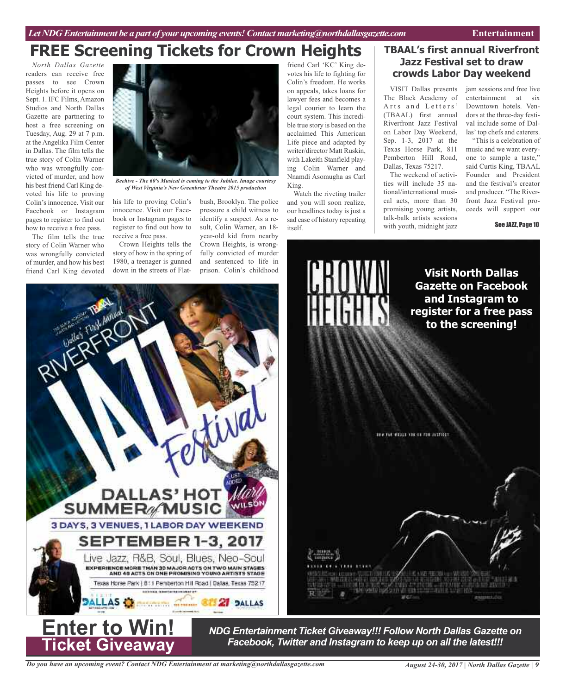#### Let *NDG* Entertainment be a part of your upcoming events! Contact marketing@northdallasgazette.com **Entertainment**

## **FREE Screening Tickets for Crown Heights TBAAL's first annual Riverfront**

*North Dallas Gazette* readers can receive free passes to see Crown Heights before it opens on Sept. 1. IFC Films, Amazon Studios and North Dallas Gazette are partnering to host a free screening on Tuesday, Aug. 29 at 7 p.m. at the Angelika Film Center in Dallas. The film tells the true story of Colin Warner who was wrongfully convicted of murder, and how his best friend Carl King devoted his life to proving Colin's innocence. Visit our Facebook or Instagram pages to register to find out how to receive a free pass.

The film tells the true story of Colin Warner who was wrongfully convicted of murder, and how his best friend Carl King devoted



*Beehive - The 60's Musical is coming to the Jubilee. Image courtesy of West Virginia's New Greenbriar Theatre 2015 production*

his life to proving Colin's innocence. Visit our Facebook or Instagram pages to register to find out how to receive a free pass.

Crown Heights tells the story of how in the spring of 1980, a teenager is gunned down in the streets of Flat-

bush, Brooklyn. The police pressure a child witness to identify a suspect. As a result, Colin Warner, an 18 year-old kid from nearby Crown Heights, is wrongfully convicted of murder and sentenced to life in prison. Colin's childhood

friend Carl 'KC' King devotes his life to fighting for Colin's freedom. He works on appeals, takes loans for lawyer fees and becomes a legal courier to learn the court system. This incredible true story is based on the acclaimed This American Life piece and adapted by writer/director Matt Ruskin, with Lakeith Stanfield playing Colin Warner and Nnamdi Asomugha as Carl King.

Watch the riveting trailer and you will soon realize, our headlines today is just a sad case of history repeating itself.

## **Jazz Festival set to draw crowds Labor Day weekend**

VISIT Dallas presents The Black Academy of Arts and Letters' (TBAAL) first annual Riverfront Jazz Festival on Labor Day Weekend, Sep. 1-3, 2017 at the Texas Horse Park, 811 Pemberton Hill Road, Dallas, Texas 75217.

The weekend of activities will include 35 national/international musical acts, more than 30 promising young artists, talk-balk artists sessions with youth, midnight jazz

jam sessions and free live entertainment at six Downtown hotels. Vendors at the three-day festival include some of Dallas' top chefs and caterers.

"This is a celebration of music and we want everyone to sample a taste," said Curtis King, TBAAL Founder and President and the festival's creator and producer. "The Riverfront Jazz Festival proceeds will support our

See JAZZ, Page 10



**Visit North Dallas Gazette on Facebook and Instagram to register for a free pass to the screening!**

the risk eight victor consumption

*NDG Entertainment Ticket Giveaway!!! Follow North Dallas Gazette on Facebook, Twitter and Instagram to keep up on all the latest!!!*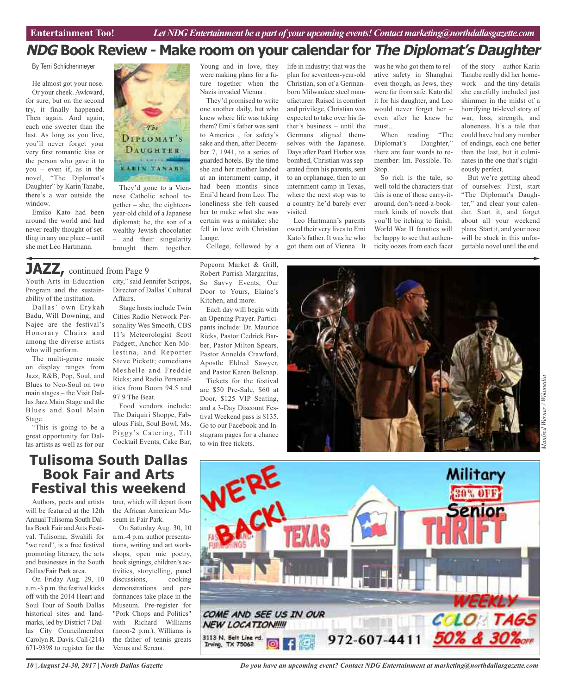### **NDG Book Review - Make room on your calendar for The Diplomat's Daughter**

By Terri Schlichenmeyer

He almost got your nose. Or your cheek. Awkward, for sure, but on the second try, it finally happened. Then again. And again, each one sweeter than the last. As long as you live, you'll never forget your very first romantic kiss or the person who gave it to you – even if, as in the novel, "The Diplomat's Daughter" by Karin Tanabe, there's a war outside the window.

Emiko Kato had been around the world and had never really thought of settling in any one place – until she met Leo Hartmann.



They'd gone to a Viennese Catholic school together – she, the eighteenyear-old child of a Japanese diplomat; he, the son of a wealthy Jewish chocolatier – and their singularity brought them together.

#### Youth-Arts-in-Education **JAZZ**, continued from Page 9

Program and the sustainability of the institution.

Dallas' own Erykah Badu, Will Downing, and Najee are the festival's Honorary Chairs and among the diverse artists who will perform.

The multi-genre music on display ranges from Jazz, R&B, Pop, Soul, and Blues to Neo-Soul on two main stages – the Visit Dallas Jazz Main Stage and the Blues and Soul Main Stage.

"This is going to be a great opportunity for Dallas artists as well as for our city," said Jennifer Scripps, Director of Dallas'Cultural Affairs.

Stage hosts include Twin Cities Radio Network Personality Wes Smooth, CBS 11's Meteorologist Scott Padgett, Anchor Ken Molestina, and Reporter Steve Pickett; comedians Meshelle and Freddie Ricks; and Radio Personalities from Boom 94.5 and 97.9 The Beat.

Food vendors include: The Daiquiri Shoppe, Fabulous Fish, Soul Bowl, Ms. Piggy's Catering, Tilt Cocktail Events, Cake Bar,

Emi'd heard from Leo. The loneliness she felt caused her to make what she was certain was a mistake: she fell in love with Christian Lange.

Young and in love, they were making plans for a future together when the Nazis invaded Vienna . They'd promised to write one another daily, but who knew where life was taking them? Emi's father was sent to America , for safety's sake and then, after December 7, 1941, to a series of guarded hotels. By the time she and her mother landed at an internment camp, it had been months since

College, followed by a

Popcorn Market & Grill,

Robert Parrish Margaritas, So Savvy Events, Our Door to Yours, Elaine's Kitchen, and more.

Each day will begin with an Opening Prayer. Participants include: Dr. Maurice Ricks, Pastor Cedrick Barber, Pastor Milton Spears, Pastor Annelda Crawford, Apostle Eldred Sawyer, and Pastor Karen Belknap.

Tickets for the festival are \$50 Pre-Sale, \$60 at Door, \$125 VIP Seating, and a 3-Day Discount Festival Weekend pass is \$135. Go to our Facebook and Instagram pages for a chance to win free tickets.

#### life in industry: that was the plan for seventeen-year-old Christian, son of a Germanborn Milwaukee steel manufacturer. Raised in comfort and privilege, Christian was expected to take over his father's business – until the Germans aligned themselves with the Japanese. Days after Pearl Harbor was bombed, Christian was separated from his parents, sent to an orphanage, then to an internment camp in Texas, where the next stop was to

visited. Leo Hartmann's parents owed their very lives to Emi Kato's father. It was he who got them out of Vienna . It

a country he'd barely ever

was he who got them to relative safety in Shanghai even though, as Jews, they were far from safe. Kato did it for his daughter, and Leo would never forget her – even after he knew he must…

When reading "The Diplomat's Daughter," there are four words to remember: Im. Possible. To. Stop.

So rich is the tale, so well-told the characters that this is one of those carry-itaround, don't-need-a-bookmark kinds of novels that you'll be itching to finish. World War II fanatics will be happy to see that authenticity oozes from each facet

of the story – author Karin Tanabe really did her homework – and the tiny details she carefully included just shimmer in the midst of a horrifying tri-level story of war, loss, strength, and aloneness. It's a tale that could have had any number of endings, each one better than the last, but it culminates in the one that's righteously perfect.

But we're getting ahead of ourselves: First, start "The Diplomat's Daughter," and clear your calendar. Start it, and forget about all your weekend plans. Start it, and your nose will be stuck in this unforgettable novel until the end.



### **Tulisoma South Dallas Book Fair and Arts Festival this weekend**

Authors, poets and artists will be featured at the 12th Annual Tulisoma South Dallas Book Fair andArts Festival. Tulisoma, Swahili for "we read", is a free festival promoting literacy, the arts and businesses in the South Dallas/Fair Park area.

On Friday Aug. 29, 10 a.m.-3 p.m. the festival kicks off with the 2014 Heart and Soul Tour of South Dallas historical sites and landmarks, led by District 7 Dallas City Councilmember Carolyn R. Davis. Call (214) 671-9398 to register for the tour, which will depart from the African American Museum in Fair Park.

On Saturday Aug. 30, 10 a.m.-4 p.m. author presentations, writing and art workshops, open mic poetry, book signings, children's activities, storytelling, panel discussions, cooking demonstrations and performances take place in the Museum. Pre-register for "Pork Chops and Politics" with Richard Williams (noon-2 p.m.). Williams is the father of tennis greats Venus and Serena.



*Do you have an upcoming event? Contact NDG Entertainment at marketing@northdallasgazette.com*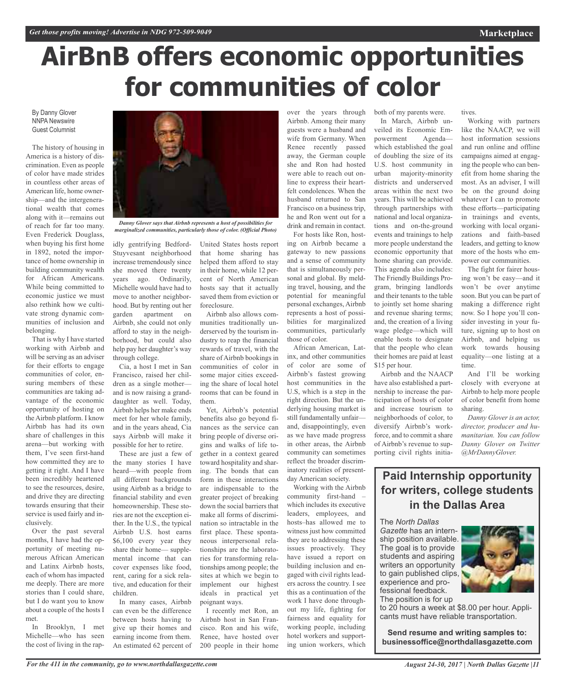# **AirBnB offers economic opportunities for communities of color**

#### By Danny Glover NNPA Newswire Guest Columnist

The history of housing in America is a history of discrimination. Even as people of color have made strides in countless other areas of American life, home ownership—and the intergenerational wealth that comes along with it—remains out of reach for far too many. Even Frederick Douglass, when buying his first home in 1892, noted the importance of home ownership in building community wealth for African Americans. While being committed to economic justice we must also rethink how we cultivate strong dynamic communities of inclusion and belonging.

That is why I have started working with Airbnb and will be serving as an adviser for their efforts to engage communities of color, ensuring members of these communities are taking advantage of the economic opportunity of hosting on the Airbnb platform. I know Airbnb has had its own share of challenges in this arena—but working with them, I've seen first-hand how committed they are to getting it right. And I have been incredibly heartened to see the resources, desire, and drive they are directing towards ensuring that their service is used fairly and inclusively.

Over the past several months, I have had the opportunity of meeting numerous African American and Latinx Airbnb hosts, each of whom has impacted me deeply. There are more stories than I could share, but I do want you to know about a couple of the hosts I met.

In Brooklyn, I met Michelle—who has seen the cost of living in the rap-



*marginalized communities, particularly those of color. (Official Photo)*

idly gentrifying Bedford-Stuyvesant neighborhood increase tremendously since she moved there twenty years ago. Ordinarily, Michelle would have had to move to another neighborhood. But by renting out her garden apartment on Airbnb, she could not only afford to stay in the neighborhood, but could also help pay her daughter's way through college.

Cia, a host I met in San Francisco, raised her children as a single mother and is now raising a granddaughter as well. Today, Airbnb helps her make ends meet for her whole family, and in the years ahead, Cia says Airbnb will make it possible for her to retire.

These are just a few of the many stories I have heard—with people from all different backgrounds using Airbnb as a bridge to financial stability and even homeownership. These stories are not the exception either. In the U.S., the typical Airbnb U.S. host earns \$6,100 every year they share their home— supplemental income that can cover expenses like food, rent, caring for a sick relative, and education for their children.

In many cases, Airbnb can even be the difference between hosts having to give up their homes and earning income from them. An estimated 62 percent of United States hosts report that home sharing has helped them afford to stay in their home, while 12 percent of North American hosts say that it actually saved them from eviction or foreclosure.

Airbnb also allows communities traditionally underserved by the tourism industry to reap the financial rewards of travel, with the share of Airbnb bookings in communities of color in some major cities exceeding the share of local hotel rooms that can be found in them.

Yet, Airbnb's potential benefits also go beyond finances as the service can bring people of diverse origins and walks of life together in a context geared toward hospitality and sharing. The bonds that can form in these interactions are indispensable to the greater project of breaking down the social barriers that make all forms of discrimination so intractable in the first place. These spontaneous interpersonal relationships are the laboratories for transforming relationships among people; the sites at which we begin to implement our highest ideals in practical yet poignant ways.

I recently met Ron, an Airbnb host in San Francisco. Ron and his wife, Renee, have hosted over 200 people in their home

over the years through Airbnb. Among their many guests were a husband and wife from Germany. When Renee recently passed away, the German couple she and Ron had hosted were able to reach out online to express their heartfelt condolences. When the husband returned to San Francisco on a business trip, he and Ron went out for a drink and remain in contact. For hosts like Ron, host-

ing on Airbnb became a gateway to new passions and a sense of community that is simultaneously personal and global. By melding travel, housing, and the potential for meaningful personal exchanges, Airbnb represents a host of possibilities for marginalized communities, particularly those of color.

African American, Latinx, and other communities of color are some of Airbnb's fastest growing host communities in the U.S, which is a step in the right direction. But the underlying housing market is still fundamentally unfair and, disappointingly, even as we have made progress in other areas, the Airbnb community can sometimes reflect the broader discriminatory realities of presentday American society.

Working with the Airbnb community first-hand – which includes its executive leaders, employees, and hosts–has allowed me to witness just how committed they are to addressing these issues proactively. They have issued a report on building inclusion and engaged with civil rights leaders across the country. I see this as a continuation of the work I have done throughout my life, fighting for fairness and equality for working people, including hotel workers and supporting union workers, which

both of my parents were. In March, Airbnb unveiled its Economic Empowerment Agenda which established the goal of doubling the size of its U.S. host community in urban majority-minority districts and underserved areas within the next two years. This will be achieved through partnerships with national and local organizations and on-the-ground events and trainings to help more people understand the economic opportunity that home sharing can provide. This agenda also includes: The Friendly Buildings Program, bringing landlords and their tenants to the table to jointly set home sharing and revenue sharing terms; and, the creation of a living wage pledge—which will enable hosts to designate that the people who clean their homes are paid at least \$15 per hour.

Airbnb and the NAACP have also established a partnership to increase the participation of hosts of color and increase tourism to neighborhoods of color, to diversify Airbnb's workforce, and to commit a share of Airbnb's revenue to supporting civil rights initia-

#### tives.

Working with partners like the NAACP, we will host information sessions and run online and offline campaigns aimed at engaging the people who can benefit from home sharing the most. As an adviser, I will be on the ground doing whatever I can to promote these efforts—participating in trainings and events, working with local organizations and faith-based leaders, and getting to know more of the hosts who empower our communities.

**Marketplace**

The fight for fairer housing won't be easy—and it won't be over anytime soon. But you can be part of making a difference right now. So I hope you'll consider investing in your future, signing up to host on Airbnb, and helping us work towards housing equality—one listing at a time.

And I'll be working closely with everyone at Airbnb to help more people of color benefit from home sharing.

*Danny Glover is an actor, director, producer and humanitarian. You can follow Danny Glover on Twitter @MrDannyGlover.*

### **Paid Internship opportunity for writers, college students in the Dallas Area**

The *North Dallas*

*Gazette* has an internship position available. The goal is to provide students and aspiring writers an opportunity to gain published clips, experience and professional feedback. The position is for up

to 20 hours a week at \$8.00 per hour. Applicants must have reliable transportation.

**Send resume and writing samples to: businessoffice@northdallasgazette.com**

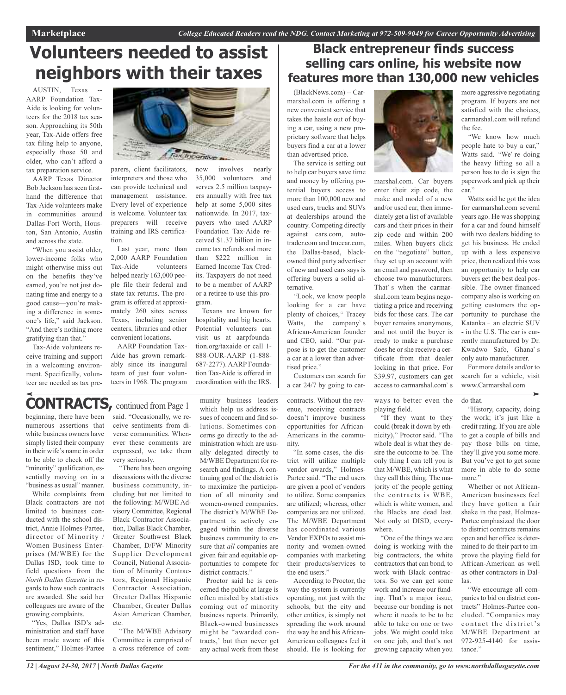## **Volunteers needed to assist neighbors with their taxes**

AUSTIN, Texas AARP Foundation Tax-Aide is looking for volunteers for the 2018 tax season. Approaching its 50th year, Tax-Aide offers free tax filing help to anyone, especially those 50 and older, who can't afford a tax preparation service.

AARP Texas Director Bob Jackson has seen firsthand the difference that Tax-Aide volunteers make in communities around Dallas-Fort Worth, Houston, San Antonio, Austin and across the state.

"When you assist older, lower-income folks who might otherwise miss out on the benefits they've earned, you're not just donating time and energy to a good cause—you're making a difference in someone's life," said Jackson. "And there's nothing more gratifying than that."

Tax-Aide volunteers receive training and support in a welcoming environment. Specifically, volunteer are needed as tax pre-



parers, client facilitators, interpreters and those who can provide technical and management assistance. Every level of experience is welcome. Volunteer tax preparers will receive training and IRS certification.

Last year, more than 2,000 AARP Foundation Tax-Aide volunteers helped nearly 163,000 people file their federal and state tax returns. The program is offered at approximately 260 sites across Texas, including senior centers, libraries and other convenient locations.

AARP Foundation Tax-Aide has grown remarkably since its inaugural team of just four volunteers in 1968. The program now involves nearly 35,000 volunteers and serves 2.5 million taxpayers annually with free tax help at some 5,000 sites nationwide. In 2017, taxpayers who used AARP Foundation Tax-Aide received \$1.37 billion in income tax refunds and more than \$222 million in Earned Income Tax Credits. Taxpayers do not need to be a member of AARP or a retiree to use this program.

Texans are known for hospitality and big hearts. Potential volunteers can visit us at aarpfoundation.org/taxaide or call 1- 888-OUR-AARP (1-888- 687-2277). AARP Foundation Tax-Aide is offered in coordination with the IRS.

### **Black entrepreneur finds success selling cars online, his website now features more than 130,000 new vehicles**

(BlackNews.com) -- Carmarshal.com is offering a new convenient service that takes the hassle out of buying a car, using a new proprietary software that helps buyers find a car at a lower than advertised price.

The service is setting out to help car buyers save time and money by offering potential buyers access to more than 100,000 new and used cars, trucks and SUVs at dealerships around the country. Competing directly against cars.com, autotrader.com and truecar.com, the Dallas-based, blackowned third party advertiser of new and used cars says is offering buyers a solid alternative.

Look, we know people looking for a car have plenty of choices," Tracey Watts, the company's African-American founder and CEO, said. "Our purpose is to get the customer a car at a lower than advertised price."

Customers can search for a car 24/7 by going to car-

contracts. Without the revenue, receiving contracts doesn't improve business opportunities for African-Americans in the community.

"In some cases, the district will utilize multiple vendor awards," Holmes-Partee said. "The end users are given a pool of vendors to utilize. Some companies are utilized; whereas, other companies are not utilized. The M/WBE Department has coordinated various Vendor EXPOs to assist minority and women-owned companies with marketing their products/services to the end users."

According to Proctor, the way the system is currently operating, not just with the schools, but the city and other entities, is simply not spreading the work around the way he and his African-American colleagues feel it should. He is looking for



marshal.com. Car buyers enter their zip code, the make and model of a new and/or used car, then immediately get a list of available cars and their prices in their zip code and within 200 miles. When buyers click on the "negotiate" button, they set up an account with an email and password, then choose two manufacturers. That's when the carmarshal.com team begins negotiating a price and receiving bids for those cars. The car buyer remains anonymous, and not until the buyer is ready to make a purchase does he or she receive a certificate from that dealer locking in that price. For \$39.97, customers can get access to carmarshal.com's

ways to better even the playing field.

"If they want to they could (break it down by ethnicity)," Proctor said. "The whole deal is what they desire the outcome to be. The only thing I can tell you is that M/WBE, which is what they call this thing. The majority of the people getting the contracts is WBE, which is white women, and the Blacks are dead last. Not only at DISD, everywhere.

"One of the things we are doing is working with the big contractors, the white contractors that can bond, to work with Black contractors. So we can get some work and increase our funding. That's a major issue, because our bonding is not where it needs to be to be able to take on one or two jobs. We might could take on one job, and that's not growing capacity when you

more aggressive negotiating program. If buyers are not satisfied with the choices, carmarshal.com will refund the fee.

We know how much people hate to buy a car, Watts said. "We' re doing the heavy lifting so all a person has to do is sign the paperwork and pick up their car.

Watts said he got the idea for carmarshal.com several years ago. He was shopping for a car and found himself with two dealers bidding to get his business. He ended up with a less expensive price, then realized this was an opportunity to help car buyers get the best deal possible. The owner-financed company also is working on getting customers the opportunity to purchase the Katanka - an electric SUV - in the U.S. The car is currently manufactured by Dr. Kwadwo Safo, Ghana's only auto manufacturer.

For more details and/or to search for a vehicle, visit www.Carmarshal.com

#### do that.

"History, capacity, doing the work; it's just like a credit rating. If you are able to get a couple of bills and pay those bills on time, they'll give you some more. But you've got to get some more in able to do some more.'

Whether or not African-American businesses feel they have gotten a fair shake in the past, Holmes-Partee emphasized the door to district contracts remains open and her office is determined to do their part to improve the playing field for African-American as well as other contractors in Dallas.

"We encourage all companies to bid on district contracts" Holmes-Partee concluded. "Companies may contact the district's M/WBE Department at 972-925-4140 for assistance.'

## **CONTRACTS,** continued from Page <sup>1</sup>

beginning, there have been numerous assertions that white business owners have simply listed their company in their wife's name in order to be able to check off the "minority" qualification, essentially moving on in a "business as usual" manner.

While complaints from Black contractors are not limited to business conducted with the school district, Annie Holmes-Partee, director of Minority / Women Business Enterprises (M/WBE) for the Dallas ISD, took time to field questions from the *North Dallas Gazette* in regards to how such contracts are awarded. She said her colleagues are aware of the growing complaints.

"Yes, Dallas ISD's administration and staff have been made aware of this sentiment," Holmes-Partee

said. "Occasionally, we receive sentiments from diverse communities. Whenever these comments are expressed, we take them very seriously.

"There has been ongoing discussions with the diverse business community, including but not limited to the following: M/WBE Advisory Committee, Regional Black Contractor Association, Dallas Black Chamber, Greater Southwest Black Chamber, D/FW Minority Supplier Development Council, National Association of Minority Contractors, Regional Hispanic Contractor Association, Greater Dallas Hispanic Chamber, Greater Dallas Asian American Chamber, etc.

"The M/WBE Advisory Committee is comprised of a cross reference of com-

munity business leaders which help us address issues of concern and find solutions. Sometimes concerns go directly to the administration which are usually delegated directly to M/WBE Department for research and findings. A continuing goal of the district is to maximize the participation of all minority and women-owned companies. The district's M/WBE Department is actively engaged within the diverse business community to ensure that *all* companies are given fair and equitable opportunities to compete for district contracts."

Proctor said he is concerned the public at large is often misled by statistics coming out of minority business reports. Primarily, Black-owned businesses might be "awarded contracts,' but then never get any actual work from those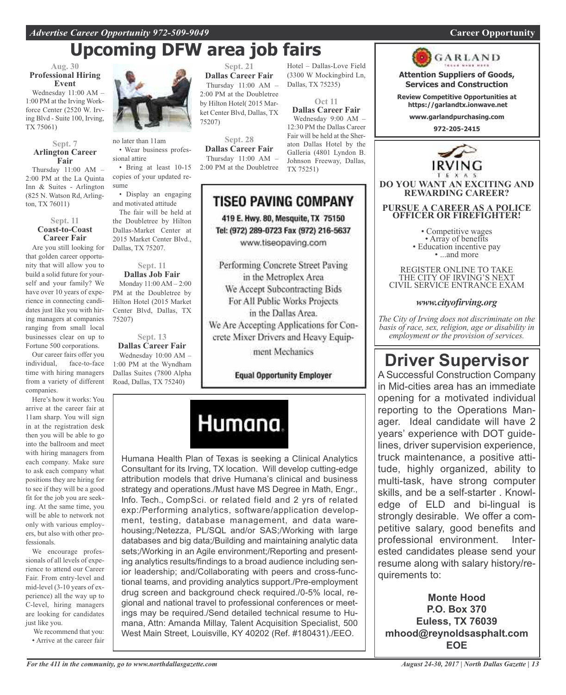## **Upcoming DFW area job fairs**

#### **Aug. 30 Professional Hiring Event**

Wednesday 11:00 AM – 1:00 PM at the Irving Workforce Center (2520 W. Irving Blvd - Suite 100, Irving, TX 75061)

#### **Sept. 7 Arlington Career Fair**

Thursday 11:00 AM – 2:00 PM at the La Quinta Inn & Suites - Arlington (825 N. Watson Rd, Arlington, TX 76011)

#### **Sept. 11 Coast-to-Coast Career Fair**

Are you still looking for that golden career opportunity that will allow you to build a solid future for yourself and your family? We have over 10 years of experience in connecting candidates just like you with hiring managers at companies ranging from small local businesses clear on up to Fortune 500 corporations.

Our career fairs offer you individual, face-to-face time with hiring managers from a variety of different companies.

Here's how it works: You arrive at the career fair at 11am sharp. You will sign in at the registration desk then you will be able to go into the ballroom and meet with hiring managers from each company. Make sure to ask each company what positions they are hiring for to see if they will be a good fit for the job you are seeking. At the same time, you will be able to network not only with various employers, but also with other professionals.

We encourage professionals of all levels of experience to attend our Career Fair. From entry-level and mid-level (3-10 years of experience) all the way up to C-level, hiring managers are looking for candidates just like you.

We recommend that you:

• Arrive at the career fair



no later than 11am

• Wear business professional attire

• Bring at least 10-15 copies of your updated resume

• Display an engaging and motivated attitude

The fair will be held at the Doubletree by Hilton Dallas-Market Center at 2015 Market Center Blvd., Dallas, TX 75207.

### **Sept. 11 Dallas Job Fair** Monday 11:00 AM – 2:00

PM at the Doubletree by Hilton Hotel (2015 Market Center Blvd, Dallas, TX 75207)

### **Sept. 13 Dallas Career Fair**

Wednesday 10:00 AM – 1:00 PM at the Wyndham Dallas Suites (7800 Alpha Road, Dallas, TX 75240)

**Sept. 21**

**Dallas Career Fair** Thursday 11:00 AM – 2:00 PM at the Doubletree by Hilton Hotel( 2015 Market Center Blvd, Dallas, TX 75207)

**Sept. 28 Dallas Career Fair** Thursday 11:00 AM – 2:00 PM at the Doubletree

## **TISEO PAVING COMPANY**

TX 75251)

Hotel – Dallas-Love Field (3300 W Mockingbird Ln,

**Oct 11 Dallas Career Fair** Wednesday 9:00 AM – 12:30 PM the Dallas Career Fair will be held at the Sheraton Dallas Hotel by the Galleria (4801 Lyndon B. Johnson Freeway, Dallas,

Dallas, TX 75235)

419 E. Hwy. 80, Mesquite, TX 75150 Tel: (972) 289-0723 Fax (972) 216-5637 www.tiseopaving.com

Performing Concrete Street Paving in the Metroplex Area We Accept Subcontracting Bids For All Public Works Projects in the Dallas Area. We Are Accepting Applications for Concrete Mixer Drivers and Heavy Equip-

ment Mechanics

**Equal Opportunity Employer** 



Humana Health Plan of Texas is seeking a Clinical Analytics Consultant for its Irving, TX location. Will develop cutting-edge attribution models that drive Humana's clinical and business strategy and operations./Must have MS Degree in Math, Engr., Info. Tech., CompSci. or related field and 2 yrs of related exp:/Performing analytics, software/application development, testing, database management, and data warehousing;/Netezza, PL/SQL and/or SAS;/Working with large databases and big data;/Building and maintaining analytic data sets;/Working in an Agile environment;/Reporting and presenting analytics results/findings to a broad audience including senior leadership; and/Collaborating with peers and cross-functional teams, and providing analytics support./Pre-employment drug screen and background check required./0-5% local, regional and national travel to professional conferences or meetings may be required./Send detailed technical resume to Humana, Attn: Amanda Millay, Talent Acquisition Specialist, 500 West Main Street, Louisville, KY 40202 (Ref. #180431)./EEO.



**Attention Suppliers of Goods, Services and Construction**

**Review Competitive Opportunities at https://garlandtx.ionwave.net**

**www.garlandpurchasing.com**

**972-205-2415**



**DO YOU WANT AN EXCITING AND REWARDING CAREER?**

**PURSUE A CAREER AS A POLICE OFFICER OR FIREFIGHTER!**

• Competitive wages<br>• Array of benefits<br>• Education incentive pay<br>• ...and more

REGISTER ONLINE TO TAKE THE CITY OF IRVING'S NEXT CIVIL SERVICE ENTRANCE EXAM

#### *www.cityofirving.org*

*The City of Irving does not discriminate on the basis of race, sex, religion, age or disability in employment or the provision of services.*

## **Driver Supervisor**

A Successful Construction Company in Mid-cities area has an immediate opening for a motivated individual reporting to the Operations Manager. Ideal candidate will have 2 years' experience with DOT guidelines, driver supervision experience, truck maintenance, a positive attitude, highly organized, ability to multi-task, have strong computer skills, and be a self-starter . Knowledge of ELD and bi-lingual is strongly desirable. We offer a competitive salary, good benefits and professional environment. Interested candidates please send your resume along with salary history/requirements to:

**Monte Hood P.O. Box 370 Euless, TX 76039 mhood@reynoldsasphalt.com EOE**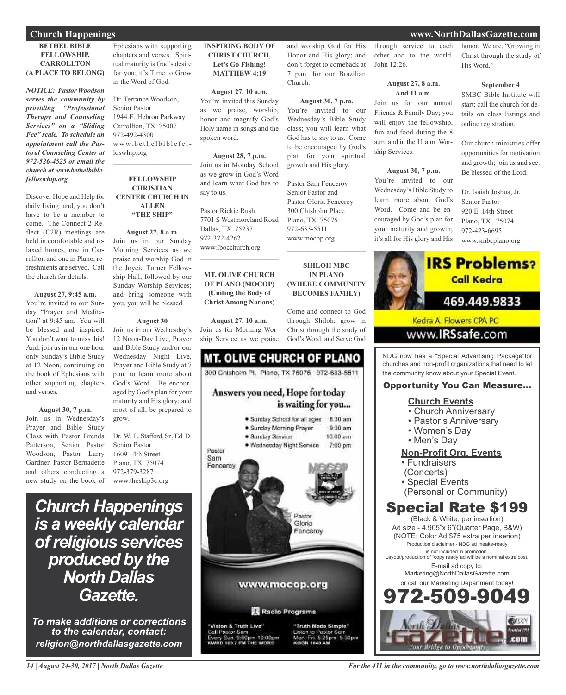#### **BETHEL BIBLE FELLOWSHIP, CARROLLTON (A PLACE TO BELONG)**

*NOTICE: Pastor Woodson serves the community by providing "Professional Therapy and Counseling Services" on a "Sliding Fee" scale. To schedule an appointment call the Pastoral Counseling Center at 972-526-4525 or email the church at www.bethelbiblefelloswhip.org*

Discover Hope and Help for daily living; and, you don't have to be a member to come. The Connect-2-Reflect (C2R) meetings are held in comfortable and relaxed homes, one in Carrollton and one in Plano, refreshments are served. Call the church for details.

#### **August 27, 9:45 a.m.** You're invited to our Sun-

day "Prayer and Meditation" at 9:45 am. You will be blessed and inspired. You don't want to miss this! And, join us in our one hour only Sunday's Bible Study at 12 Noon, continuing on the book of Ephesians with other supporting chapters and verses.

#### **August 30, 7 p.m.**

Join us in Wednesday's Prayer and Bible Study Class with Pastor Brenda Patterson, Senior Pastor Woodson, Pastor Larry Gardner, Pastor Bernadette and others conducting a new study on the book of

Ephesians with supporting chapters and verses. Spiritual maturity is God's desire for you; it's Time to Grow in the Word of God.

Dr. Terrance Woodson, Senior Pastor 1944 E. Hebron Parkway Carrollton, TX 75007 972-492-4300 www.bethelbiblefelloswhip.org  $\mathcal{L}_\text{max}$  , which is a set of the set of the set of the set of the set of the set of the set of the set of the set of the set of the set of the set of the set of the set of the set of the set of the set of the set of

#### **FELLOWSHIP CHRISTIAN CENTER CHURCH IN ALLEN "THE SHIP"**

#### **August 27, 8 a.m.**

Join us in our Sunday Morning Services as we praise and worship God in the Joycie Turner Fellowship Hall; followed by our Sunday Worship Services; and bring someone with you, you will be blessed.

#### **August 30**

Join us in our Wednesday's 12 Noon-Day Live, Prayer and Bible Study and/or our Wednesday Night Live, Prayer and Bible Study at 7 p.m. to learn more about God's Word. Be encouraged by God's plan for your maturity and His glory; and most of all; be prepared to grow.

#### Dr. W. L. Stafford, Sr., Ed. D. Senior Pastor 1609 14th Street Plano, TX 75074 972-379-3287 www.theship3c.org

*Church Happenings is a weekly calendar ofreligious services produced by the North Dallas Gazette.*

*To make additions or corrections to the calendar, contact: religion@northdallasgazette.com*

#### **INSPIRING BODY OF CHRIST CHURCH, Let's Go Fishing! MATTHEW 4:19**

**August 27, 10 a.m.** You're invited this Sunday as we praise, worship, honor and magnify God's Holy name in songs and the spoken word.

#### **August 28, 7 p.m.**

Join us in Monday School as we grow in God's Word and learn what God has to say to us.

Pastor Rickie Rush 7701 S Westmoreland Road Dallas, TX 75237 972-372-4262 www.Ibocchurch.org  $\overline{\phantom{a}}$  , which is a set of the set of the set of the set of the set of the set of the set of the set of the set of the set of the set of the set of the set of the set of the set of the set of the set of the set of th

#### **MT. OLIVE CHURCH OF PLANO (MOCOP) (Uniting the Body of Christ Among Nations)**

**August 27, 10 a.m.** Join us for Morning Worship Service as we praise

### **MT. OLIVE CHURCH OF PLANO** 300 Chishoim Pl. Plano, TX 75075 972-633-5511 Answers you need, Hope for today is waiting for you... · Sunday School for all ages 8:30 am  $9-30$  am · Sunday Morning Prayer  $10:00$  am · Sunday Service · Wednesday Night Service 7:00 pm Pastor Sam Fencercy Pastry Gloria encerov

### www.mocop.org

Radio Programs

Vision & Truth Live" Pastor Sam<br>ry Sun, 9:00pm-10:00pm<br>kD 103.7 FM THE WORD

"Truth Mode Simple" 5:30pm through service to each other and to the world. John 12:26.

and worship God for His Honor and His glory; and don't forget to comeback at 7 p.m. for our Brazilian

**August 30, 7 p.m.** You're invited to our Wednesday's Bible Study class; you will learn what God has to say to us. Come to be encouraged by God's plan for your spiritual growth and His glory.

Pastor Sam Fenceroy Senior Pastor and Pastor Gloria Fenceroy 300 Chisholm Place Plano, TX 75075 972-633-5511 www.mocop.org

 $\overline{\phantom{a}}$  , and the set of the set of the set of the set of the set of the set of the set of the set of the set of the set of the set of the set of the set of the set of the set of the set of the set of the set of the s

**SHILOH MBC IN PLANO (WHERE COMMUNITY BECOMES FAMILY)**

Come and connect to God through Shiloh; grow in Christ through the study of God's Word; and Serve God

Church.

#### **August 27, 8 a.m. And 11 a.m.**

Join us for our annual Friends & Family Day; you will enjoy the fellowship, fun and food during the 8 a.m. and in the 11 a.m. Worship Services.

#### **August 30, 7 p.m.**

You're invited to our Wednesday's Bible Study to learn more about God's Word. Come and be encouraged by God's plan for your maturity and growth; it's all for His glory and His honor. We are, "Growing in Christ through the study of His Word."

#### **September 4**

SMBC Bible Institute will start; call the church for details on class listings and online registration.

Our church ministries offer opportunities for motivation and growth; join us and see. Be blessed of the Lord.

Dr. Isaiah Joshua, Jr. Senior Pastor 920 E. 14th Street Plano, TX 75074 972-423-6695 www.smbcplano.org



NDG now has a "Special Advertising Package"for churches and non-profit organizations that need to let the community know about your Special Event.

#### Opportunity You Can Measure...

#### **Church Events**

- Church Anniversary
- Pastor's Anniversary
- Women's Day
- Men's Day

#### **Non-Profit Org. Events**

- Fundraisers
- (Concerts)
- Special Events
- (Personal or Community)

## Special Rate \$199

(Black & White, per insertion) Ad size - 4.905"x 6"(Quarter Page, B&W) (NOTE: Color Ad \$75 extra per inserion) Production disclaimer - NDG ad meake-ready is not included in promotion. Layout/production of "copy ready"ad will be a nominal extra cost. E-mail ad copy to: Marketing@NorthDallasGazette.com or call our Marketing Department today! 509-9



#### **Church Happenings www.NorthDallasGazette.com**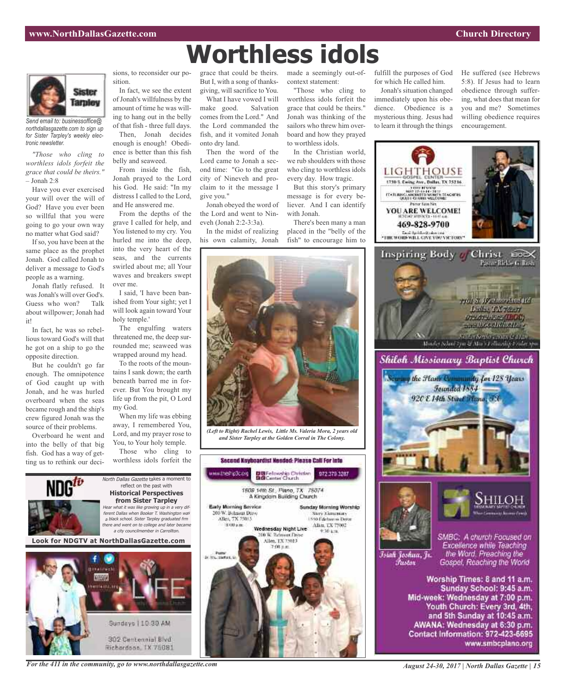

*Send email to: businessoffice@ northdallasgazette.com to sign up for Sister Tarpley's weekly electronic newsletter.*

*"Those who cling to worthless idols forfeit the grace that could be theirs."* – Jonah 2:8

Have you ever exercised your will over the will of God? Have you ever been so willful that you were going to go your own way no matter what God said?

If so, you have been at the same place as the prophet Jonah. God called Jonah to deliver a message to God's people as a warning.

Jonah flatly refused. It was Jonah's will over God's. Guess who won? Talk about willpower; Jonah had it!

In fact, he was so rebellious toward God's will that he got on a ship to go the opposite direction.

But he couldn't go far enough. The omnipotence of God caught up with Jonah, and he was hurled overboard when the seas became rough and the ship's crew figured Jonah was the source of their problems.

Overboard he went and into the belly of that big fish. God has a way of getting us to rethink our decisions, to reconsider our position.

In fact, we see the extent of Jonah's willfulness by the amount of time he was willing to hang out in the belly of that fish - three full days.

Then, Jonah decides enough is enough! Obedience is better than this fish belly and seaweed.

From inside the fish, Jonah prayed to the Lord his God. He said: "In my distress I called to the Lord, and He answered me.

From the depths of the grave I called for help, and You listened to my cry. You hurled me into the deep, into the very heart of the seas, and the currents swirled about me; all Your waves and breakers swept over me.

I said, 'I have been banished from Your sight; yet I will look again toward Your holy temple.'

The engulfing waters threatened me, the deep surrounded me; seaweed was wrapped around my head.

To the roots of the mountains I sank down; the earth beneath barred me in forever. But You brought my life up from the pit, O Lord my God.

When my life was ebbing away, I remembered You, Lord, and my prayer rose to You, to Your holy temple.

Those who cling to worthless idols forfeit the



Hichardson, IX 75081

grace that could be theirs. But I, with a song of thanks-

**Worthless idols**

*(Left to Right) Rachel Lewis, Little Ms. Valeria Mora, 2 years old and Sister Tarpley at the Golden Corral in The Colony.*

Second Nnyboardist Needed: Please Call For Into

DUFelowship Outstan

1609 14th St., Plano, TX 75074 A Kinodam Building Church

Wednesday Night Live

Allen, TX 75013

200 W. Belmore Dry

972 379 3287

**Sunday Murning Worship** Sary Elementary<br>1550 Edebarus Duve

Alia, TX 73002

30-3.18

procedures fast the

Early Morning Bervice

200 W. Balmout Drive Allen, TX 25013

2000 a.m.

giving, will sacrifice to You. What I have vowed I will make good. Salvation comes from the Lord." And the Lord commanded the fish, and it vomited Jonah onto dry land.

Then the word of the Lord came to Jonah a second time: "Go to the great city of Nineveh and proclaim to it the message I give you."

Jonah obeyed the word of the Lord and went to Nineveh (Jonah 2:2-3:3a).

In the midst of realizing his own calamity, Jonah made a seemingly out-ofcontext statement:

"Those who cling to worthless idols forfeit the grace that could be theirs." Jonah was thinking of the sailors who threw him overboard and how they prayed to worthless idols.

In the Christian world, we rub shoulders with those who cling to worthless idols every day. How tragic.

But this story's primary message is for every believer. And I can identify with Jonah.

There's been many a man placed in the "belly of the fish" to encourage him to

fulfill the purposes of God for which He called him.

Jonah's situation changed immediately upon his obedience. Obedience is a mysterious thing. Jesus had to learn it through the things

He suffered (see Hebrews 5:8). If Jesus had to learn obedience through suffering, what does that mean for you and me? Sometimes willing obedience requires encouragement.



*For the 411 in the community, go to www.northdallasgazette.com*